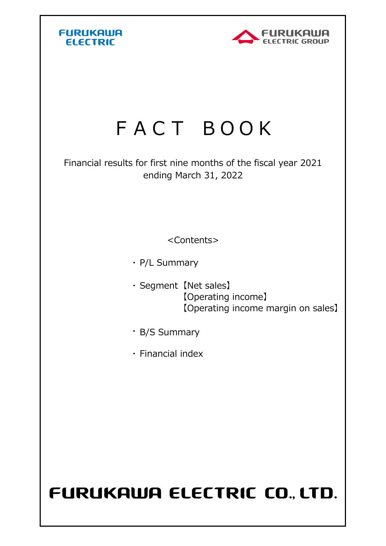



## FACT BOOK

Financial results for first nine months of the fiscal year 2021 ending March 31, 2022

<Contents>

・ P/L Summary

- ・ Segment 【Net sales】 【Net sales】 【Operating income】 【Operating income margin on sales】
- ・ B/S Summary
- ・ Financial index

## FURUKAWA ELECTRIC CO., LTD.